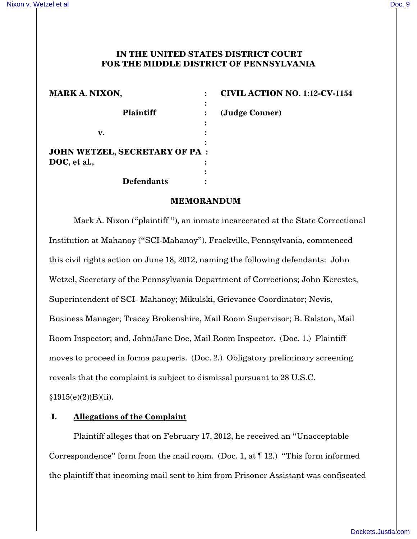## **IN THE UNITED STATES DISTRICT COURT FOR THE MIDDLE DISTRICT OF PENNSYLVANIA**

| <b>MARK A. NIXON,</b>                |   | <b>CIVIL ACTION NO. 1:12-CV-1154</b> |
|--------------------------------------|---|--------------------------------------|
| <b>Plaintiff</b>                     |   |                                      |
|                                      |   | (Judge Conner)                       |
| v.                                   |   |                                      |
| <b>JOHN WETZEL, SECRETARY OF PA:</b> |   |                                      |
| DOC, et al.,                         |   |                                      |
|                                      | ٠ |                                      |
| <b>Defendants</b>                    |   |                                      |

### **MEMORANDUM**

Mark A. Nixon ("plaintiff "), an inmate incarcerated at the State Correctional Institution at Mahanoy ("SCI-Mahanoy"), Frackville, Pennsylvania, commenced this civil rights action on June 18, 2012, naming the following defendants: John Wetzel, Secretary of the Pennsylvania Department of Corrections; John Kerestes, Superintendent of SCI- Mahanoy; Mikulski, Grievance Coordinator; Nevis, Business Manager; Tracey Brokenshire, Mail Room Supervisor; B. Ralston, Mail Room Inspector; and, John/Jane Doe, Mail Room Inspector. (Doc. 1.) Plaintiff moves to proceed in forma pauperis. (Doc. 2.) Obligatory preliminary screening reveals that the complaint is subject to dismissal pursuant to 28 U.S.C.

 $§1915(e)(2)(B)(ii).$ 

## **I. Allegations of the Complaint**

Plaintiff alleges that on February 17, 2012, he received an "Unacceptable Correspondence" form from the mail room. (Doc. 1, at ¶ 12.) "This form informed the plaintiff that incoming mail sent to him from Prisoner Assistant was confiscated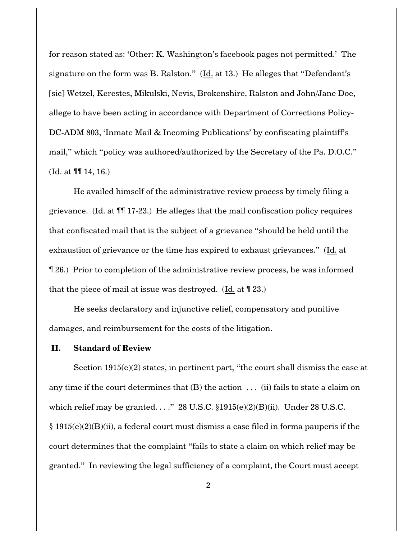for reason stated as: 'Other: K. Washington's facebook pages not permitted.' The signature on the form was B. Ralston." (Id. at 13.) He alleges that "Defendant's [sic] Wetzel, Kerestes, Mikulski, Nevis, Brokenshire, Ralston and John/Jane Doe, allege to have been acting in accordance with Department of Corrections Policy-DC-ADM 803, 'Inmate Mail & Incoming Publications' by confiscating plaintiff's mail," which "policy was authored/authorized by the Secretary of the Pa. D.O.C." (Id. at ¶¶ 14, 16.)

He availed himself of the administrative review process by timely filing a grievance. (Id. at ¶¶ 17-23.) He alleges that the mail confiscation policy requires that confiscated mail that is the subject of a grievance "should be held until the exhaustion of grievance or the time has expired to exhaust grievances." (Id. at ¶ 26.) Prior to completion of the administrative review process, he was informed that the piece of mail at issue was destroyed. (Id. at ¶ 23.)

He seeks declaratory and injunctive relief, compensatory and punitive damages, and reimbursement for the costs of the litigation.

#### **II. Standard of Review**

Section  $1915(e)(2)$  states, in pertinent part, "the court shall dismiss the case at any time if the court determines that  $(B)$  the action  $\ldots$  (ii) fails to state a claim on which relief may be granted. . . ." 28 U.S.C.  $$1915(e)(2)(B)(ii)$ . Under 28 U.S.C.  $\S$  1915(e)(2)(B)(ii), a federal court must dismiss a case filed in forma pauperis if the court determines that the complaint "fails to state a claim on which relief may be granted." In reviewing the legal sufficiency of a complaint, the Court must accept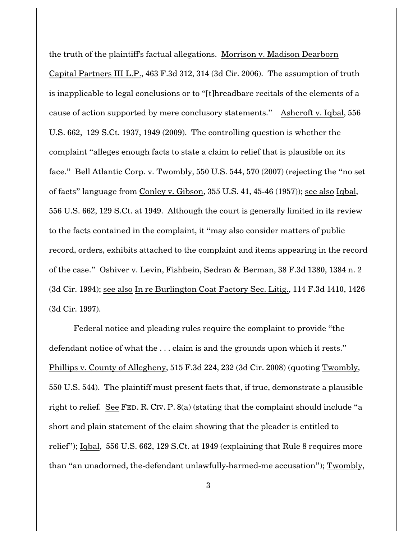the truth of the plaintiff's factual allegations. Morrison v. Madison Dearborn Capital Partners III L.P., 463 F.3d 312, 314 (3d Cir. 2006). The assumption of truth is inapplicable to legal conclusions or to "[t]hreadbare recitals of the elements of a cause of action supported by mere conclusory statements." Ashcroft v. Iqbal, 556 U.S. 662, 129 S.Ct. 1937, 1949 (2009). The controlling question is whether the complaint "alleges enough facts to state a claim to relief that is plausible on its face." Bell Atlantic Corp. v. Twombly, 550 U.S. 544, 570 (2007) (rejecting the "no set of facts" language from Conley v. Gibson, 355 U.S. 41, 45-46 (1957)); see also Iqbal, 556 U.S. 662, 129 S.Ct. at 1949. Although the court is generally limited in its review to the facts contained in the complaint, it "may also consider matters of public record, orders, exhibits attached to the complaint and items appearing in the record of the case." Oshiver v. Levin, Fishbein, Sedran & Berman, 38 F.3d 1380, 1384 n. 2 (3d Cir. 1994); see also In re Burlington Coat Factory Sec. Litig., 114 F.3d 1410, 1426 (3d Cir. 1997).

Federal notice and pleading rules require the complaint to provide "the defendant notice of what the . . . claim is and the grounds upon which it rests." Phillips v. County of Allegheny, 515 F.3d 224, 232 (3d Cir. 2008) (quoting Twombly, 550 U.S. 544). The plaintiff must present facts that, if true, demonstrate a plausible right to relief. See FED. R. CIV. P. 8(a) (stating that the complaint should include "a short and plain statement of the claim showing that the pleader is entitled to relief"); Iqbal, 556 U.S. 662, 129 S.Ct. at 1949 (explaining that Rule 8 requires more than "an unadorned, the-defendant unlawfully-harmed-me accusation"); Twombly,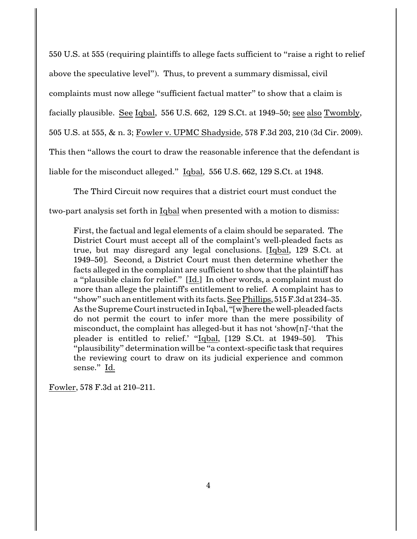550 U.S. at 555 (requiring plaintiffs to allege facts sufficient to "raise a right to relief above the speculative level"). Thus, to prevent a summary dismissal, civil complaints must now allege "sufficient factual matter" to show that a claim is facially plausible. See Iqbal, 556 U.S. 662, 129 S.Ct. at 1949–50; see also Twombly, 505 U.S. at 555, & n. 3; Fowler v. UPMC Shadyside, 578 F.3d 203, 210 (3d Cir. 2009). This then "allows the court to draw the reasonable inference that the defendant is liable for the misconduct alleged." Iqbal, 556 U.S. 662, 129 S.Ct. at 1948.

The Third Circuit now requires that a district court must conduct the

two-part analysis set forth in Iqbal when presented with a motion to dismiss:

First, the factual and legal elements of a claim should be separated. The District Court must accept all of the complaint's well-pleaded facts as true, but may disregard any legal conclusions. [Iqbal, 129 S.Ct. at 1949–50]. Second, a District Court must then determine whether the facts alleged in the complaint are sufficient to show that the plaintiff has a "plausible claim for relief." [Id.] In other words, a complaint must do more than allege the plaintiff's entitlement to relief. A complaint has to "show" such an entitlement with its facts. See Phillips, 515F.3dat 234–35. As the Supreme Court instructed in Iqbal, "[w]here the well-pleaded facts do not permit the court to infer more than the mere possibility of misconduct, the complaint has alleged-but it has not 'show[n]'-'that the pleader is entitled to relief.' "Iqbal, [129 S.Ct. at 1949–50]. This "plausibility" determination will be "a context-specific task that requires the reviewing court to draw on its judicial experience and common sense." Id.

Fowler, 578 F.3d at 210–211.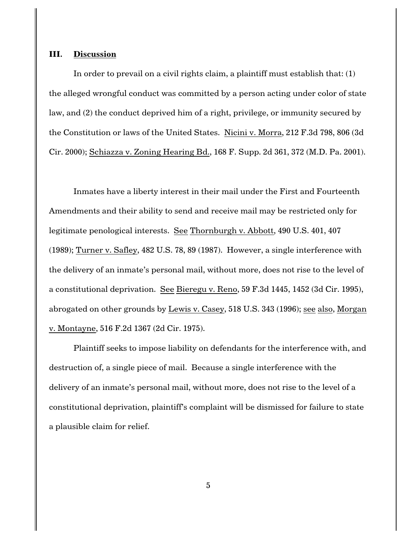#### **III. Discussion**

In order to prevail on a civil rights claim, a plaintiff must establish that: (1) the alleged wrongful conduct was committed by a person acting under color of state law, and (2) the conduct deprived him of a right, privilege, or immunity secured by the Constitution or laws of the United States. Nicini v. Morra, 212 F.3d 798, 806 (3d Cir. 2000); Schiazza v. Zoning Hearing Bd., 168 F. Supp. 2d 361, 372 (M.D. Pa. 2001).

Inmates have a liberty interest in their mail under the First and Fourteenth Amendments and their ability to send and receive mail may be restricted only for legitimate penological interests. See Thornburgh v. Abbott, 490 U.S. 401, 407 (1989); Turner v. Safley, 482 U.S. 78, 89 (1987). However, a single interference with the delivery of an inmate's personal mail, without more, does not rise to the level of a constitutional deprivation. See Bieregu v. Reno, 59 F.3d 1445, 1452 (3d Cir. 1995), abrogated on other grounds by Lewis v. Casey, 518 U.S. 343 (1996); see also, Morgan v. Montayne, 516 F.2d 1367 (2d Cir. 1975).

Plaintiff seeks to impose liability on defendants for the interference with, and destruction of, a single piece of mail. Because a single interference with the delivery of an inmate's personal mail, without more, does not rise to the level of a constitutional deprivation, plaintiff's complaint will be dismissed for failure to state a plausible claim for relief.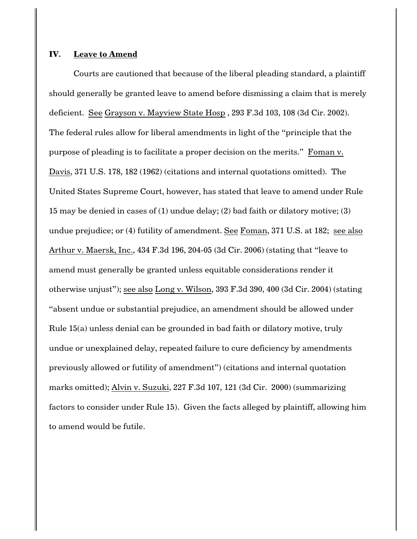#### **IV. Leave to Amend**

Courts are cautioned that because of the liberal pleading standard, a plaintiff should generally be granted leave to amend before dismissing a claim that is merely deficient. See Grayson v. Mayview State Hosp , 293 F.3d 103, 108 (3d Cir. 2002). The federal rules allow for liberal amendments in light of the "principle that the purpose of pleading is to facilitate a proper decision on the merits." Foman v. Davis, 371 U.S. 178, 182 (1962) (citations and internal quotations omitted). The United States Supreme Court, however, has stated that leave to amend under Rule 15 may be denied in cases of (1) undue delay; (2) bad faith or dilatory motive; (3) undue prejudice; or (4) futility of amendment. See Foman, 371 U.S. at 182; see also Arthur v. Maersk, Inc., 434 F.3d 196, 204-05 (3d Cir. 2006) (stating that "leave to amend must generally be granted unless equitable considerations render it otherwise unjust"); see also Long v. Wilson, 393 F.3d 390, 400 (3d Cir. 2004) (stating "absent undue or substantial prejudice, an amendment should be allowed under Rule 15(a) unless denial can be grounded in bad faith or dilatory motive, truly undue or unexplained delay, repeated failure to cure deficiency by amendments previously allowed or futility of amendment") (citations and internal quotation marks omitted); Alvin v. Suzuki, 227 F.3d 107, 121 (3d Cir. 2000) (summarizing factors to consider under Rule 15). Given the facts alleged by plaintiff, allowing him to amend would be futile.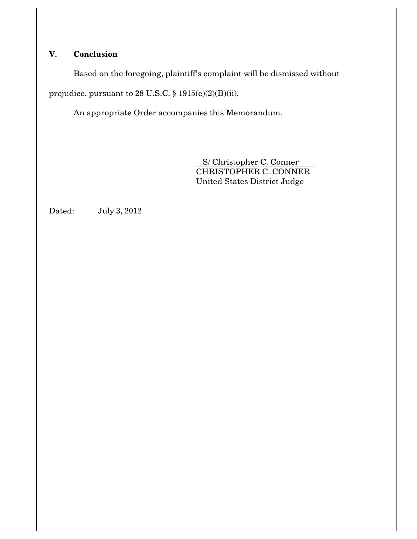# **V. Conclusion**

Based on the foregoing, plaintiff's complaint will be dismissed without

prejudice, pursuant to 28 U.S.C. § 1915(e)(2)(B)(ii).

An appropriate Order accompanies this Memorandum.

 S/ Christopher C. Conner CHRISTOPHER C. CONNER United States District Judge

Dated: July 3, 2012